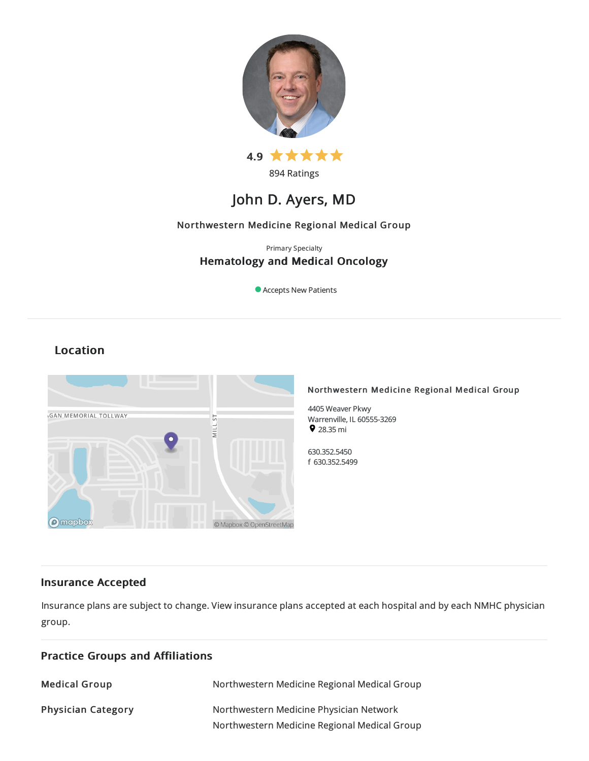

894 Ratings

# John D. Ayers, MD

## Northwestern Medicine Regional Medical Group

## Primary Specialty Hematology and Medical Oncology

Accepts New Patients

# Location



## Insurance Accepted

Insurance plans are subject to change. View [insurance](https://www.nm.org/patients-and-visitors/billing-and-insurance/insurance-information/accepted-insurance-plans) plans accepted at each hospital and by each NMHC physician group.

| <b>Practice Groups and Affiliations</b> |                                                                                         |
|-----------------------------------------|-----------------------------------------------------------------------------------------|
| <b>Medical Group</b>                    | Northwestern Medicine Regional Medical Group                                            |
| <b>Physician Category</b>               | Northwestern Medicine Physician Network<br>Northwestern Medicine Regional Medical Group |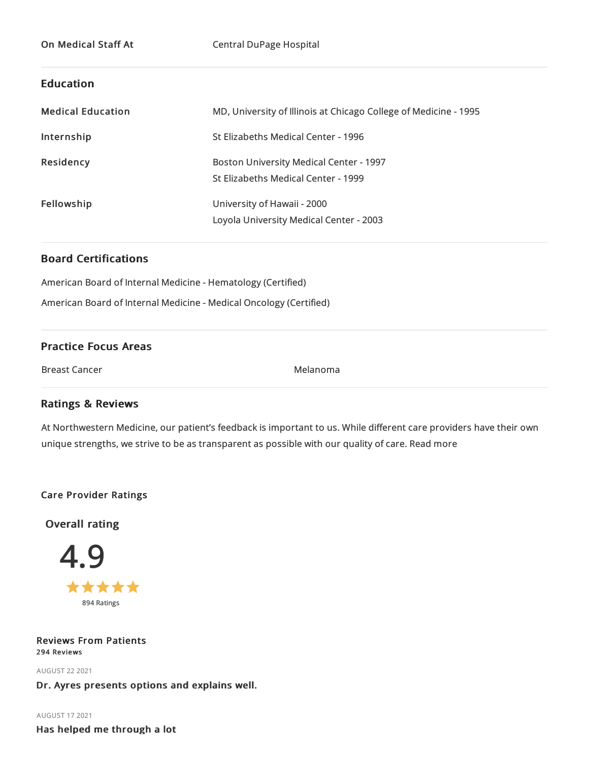## Education

| <b>Medical Education</b> | MD, University of Illinois at Chicago College of Medicine - 1995                      |
|--------------------------|---------------------------------------------------------------------------------------|
| Internship               | St Elizabeths Medical Center - 1996                                                   |
| <b>Residency</b>         | <b>Boston University Medical Center - 1997</b><br>St Elizabeths Medical Center - 1999 |
| Fellowship               | University of Hawaii - 2000<br>Loyola University Medical Center - 2003                |

## Board Certifications

American Board of Internal Medicine- Hematology (Certified)

American Board of Internal Medicine- Medical Oncology (Certified)

## Practice Focus Areas

Breast Cancer Nelson Cancer Melanoma

## Ratings & Reviews

At Northwestern Medicine, our patient's feedback is important to us. While different care providers have their own unique strengths, we strive to be as transparent as possible with our quality of care. Read more

## Care Provider Ratings

Overall rating



Reviews From Patients 294 Reviews

AUGUST 222021 Dr. Ayres presents options and explains well.

AUGUST 172021 Has helped me through a lot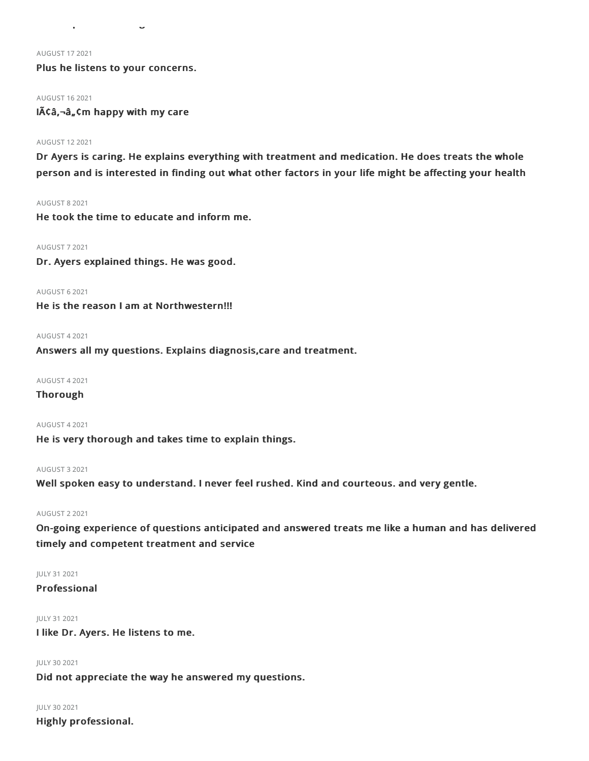#### AUGUST 172021

Plus he listens to your concerns.

Has helped me through a lot

#### AUGUST 162021

 $I\tilde{A}\tilde{C}\hat{a}$ ,  $\tilde{a}$ ,  $\tilde{c}$  m happy with my care

## AUGUST 122021

Dr Ayers is caring. He explains everything with treatment and medication. He does treats the whole person and is interested in finding out what other factors in your life might be affecting your health

#### AUGUST 82021

He took the time to educate and inform me.

## AUGUST 72021

Dr. Ayers explained things. He was good.

#### AUGUST 62021

He is the reason I am at Northwestern!!!

#### AUGUST 42021

Answers all my questions. Explains diagnosis,care and treatment.

## AUGUST 42021

#### Thorough

## AUGUST 42021

He is very thorough and takes time to explain things.

## AUGUST 32021

Well spoken easy to understand. I never feel rushed. Kind and courteous. and very gentle.

### AUGUST 22021

On-going experience of questions anticipated and answered treats me like a human and has delivered timely and competent treatment and service

#### JULY 312021

## Professional

## JULY 312021

I like Dr. Ayers. He listens to me.

## JULY 30 2021

Did not appreciate the way he answered my questions.

## JULY 302021

Highly professional.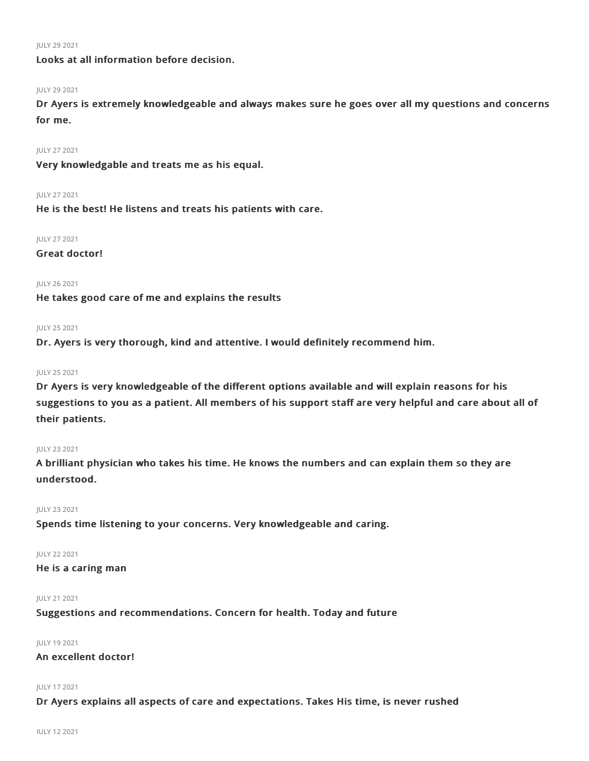#### JULY 29 2021

## Looks at all information before decision.

#### JULY 292021

Dr Ayers is extremely knowledgeable and always makes sure he goes over all my questions and concerns for me.

#### JULY 272021

Very knowledgable and treats me as his equal.

#### JULY 272021

He is the best! He listens and treats his patients with care.

## JULY 272021

Great doctor!

## JULY 262021

He takes good care of me and explains the results

## JULY 252021

Dr. Ayers is very thorough, kind and attentive. I would definitely recommend him.

#### JULY 252021

Dr Ayers is very knowledgeable of the different options available and will explain reasons for his suggestions to you as a patient. All members of his support staff are very helpful and care about all of their patients.

#### JULY 232021

A brilliant physician who takes his time. He knows the numbers and can explain them so they are understood.

#### JULY 232021

Spends time listening to your concerns. Very knowledgeable and caring.

## JULY 222021

## He is a caring man

#### JULY 212021

Suggestions and recommendations. Concern for health. Today and future

## JULY 192021

## An excellent doctor!

## JULY 172021

Dr Ayers explains all aspects of care and expectations. Takes His time, is never rushed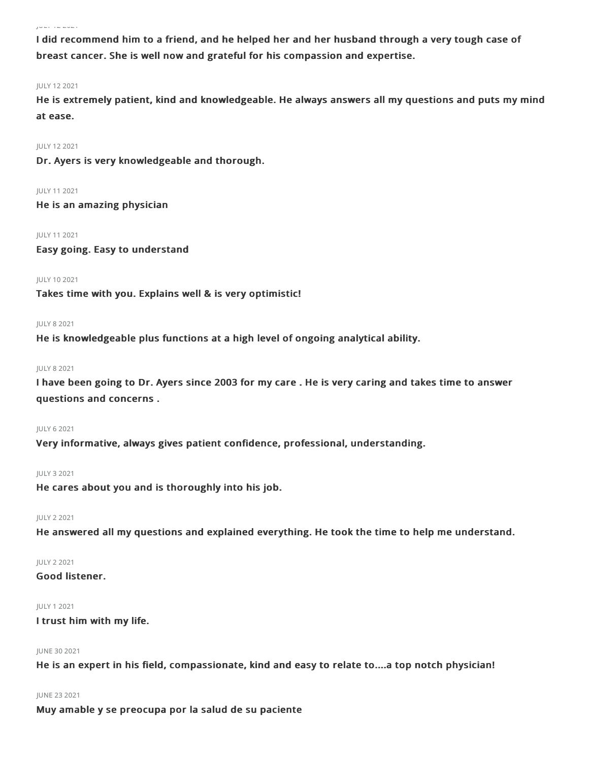#### JULY 122021

I did recommend him to a friend, and he helped her and her husband through a very tough case of breast cancer. She is well now and grateful for his compassion and expertise.

#### JULY 122021

He is extremely patient, kind and knowledgeable. He always answers all my questions and puts my mind at ease.

JULY 122021

Dr. Ayers is very knowledgeable and thorough.

JULY 112021 He is an amazing physician

JULY 112021 Easy going. Easy to understand

## JULY 102021

Takes time with you. Explains well & is very optimistic!

#### JULY 82021

He is knowledgeable plus functions at a high level of ongoing analytical ability.

#### JULY 82021

I have been going to Dr. Ayers since 2003 for my care . He is very caring and takes time to answer questions and concerns .

### JULY 62021

Very informative, always gives patient confidence, professional, understanding.

#### JULY 32021

He cares about you and is thoroughly into his job.

## JULY 22021

He answered all my questions and explained everything. He took the time to help me understand.

## JULY 22021

## Good listener.

#### JULY 12021

## I trust him with my life.

#### JUNE 30 2021

He is an expert in his field, compassionate, kind and easy to relate to....a top notch physician!

## JUNE 232021

Muy amable y se preocupa por la salud de su paciente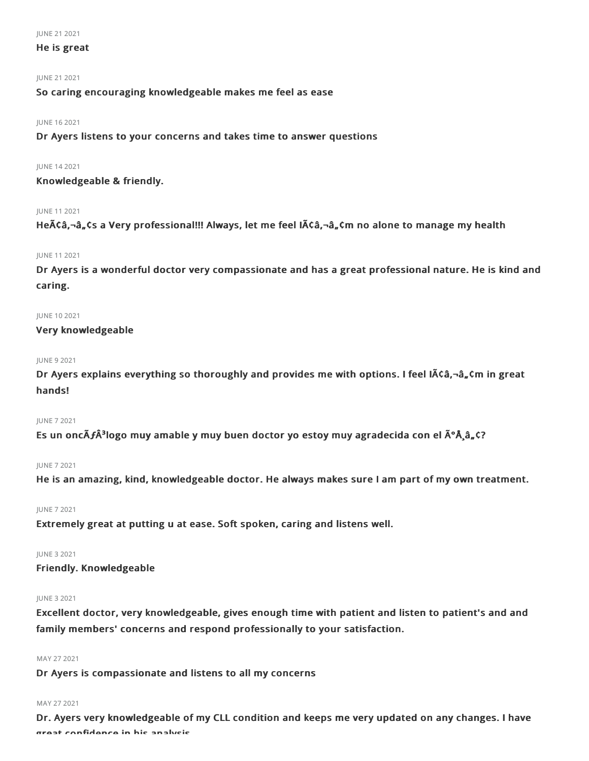#### JUNE 21 2021

## He is great

## JUNE 21 2021

So caring encouraging knowledgeable makes me feel as ease

## JUNE 162021

Dr Ayers listens to your concerns and takes time to answer questions

## JUNE 142021

Knowledgeable & friendly.

## JUNE 112021

Heââ,¬â"¢s a Very professional!!! Always, let me feel Iââ,¬â"¢m no alone to manage my health

## JUNE 112021

Dr Ayers is a wonderful doctor very compassionate and has a great professional nature. He is kind and caring.

## JUNE 102021

Very knowledgeable

## JUNE 92021

Dr Ayers explains everything so thoroughly and provides me with options. I feel I $\tilde{A}$ Ca, $\neg$ a, $\zeta$ m in great hands!

#### JUNE 72021

Es un oncÃ*f*Â<sup>3</sup>logo muy amable y muy buen doctor yo estoy muy agradecida con el ðÂ,â"¢?

#### JUNE 72021

He is an amazing, kind, knowledgeable doctor. He always makes sure I am part of my own treatment.

JUNE 72021

Extremely great at putting u at ease. Soft spoken, caring and listens well.

## JUNE 32021

Friendly. Knowledgeable

## JUNE 32021

Excellent doctor, very knowledgeable, gives enough time with patient and listen to patient's and and family members' concerns and respond professionally to your satisfaction.

#### MAY 272021

Dr Ayers is compassionate and listens to all my concerns

## MAY 27 2021

Dr. Ayers very knowledgeable of my CLL condition and keeps me very updated on any changes. I have great confidence in his analysis.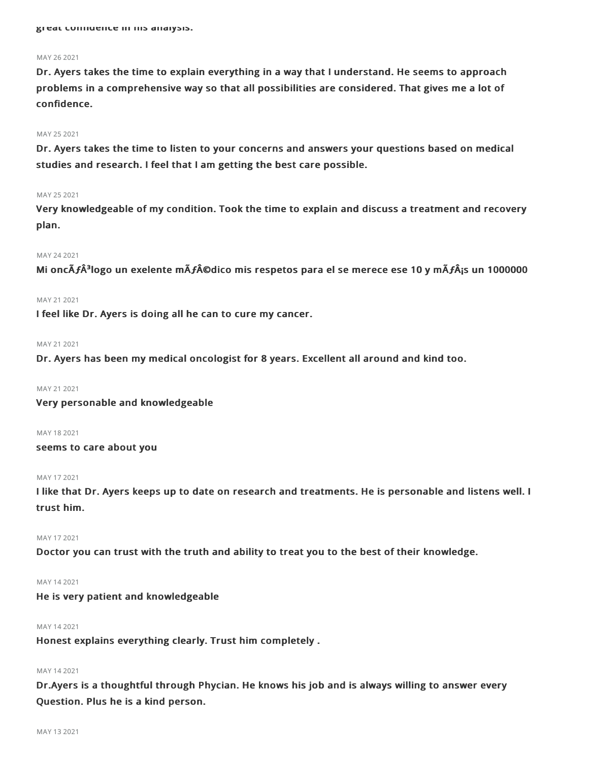#### MAY 26 2021

Dr. Ayers takes the time to explain everything in a way that I understand. He seems to approach problems in a comprehensive way so that all possibilities are considered. That gives me a lot of confidence.

#### MAY 25 2021

Dr. Ayers takes the time to listen to your concerns and answers your questions based on medical studies and research. I feel that I am getting the best care possible.

#### MAY 252021

Very knowledgeable of my condition. Took the time to explain and discuss a treatment and recovery plan.

## MAY 242021

Mi oncÃ**ƒ**³logo un exelente mÃ**ƒ**©dico mis respetos para el se merece ese 10 y mÃ**ƒ**¡s un 1000000

## MAY 21 2021

I feel like Dr. Ayers is doing all he can to cure my cancer.

#### MAY 21 2021

Dr. Ayers has been my medical oncologist for 8 years. Excellent all around and kind too.

MAY 21 2021

Very personable and knowledgeable

MAY 182021

## seems to care about you

### MAY 172021

I like that Dr. Ayers keeps up to date on research and treatments. He is personable and listens well. I trust him.

### MAY 172021

Doctor you can trust with the truth and ability to treat you to the best of their knowledge.

## MAY 142021

## He is very patient and knowledgeable

## MAY 142021

Honest explains everything clearly. Trust him completely .

#### MAY 14 2021

Dr.Ayers is a thoughtful through Phycian. He knows his job and is always willing to answer every Question. Plus he is a kind person.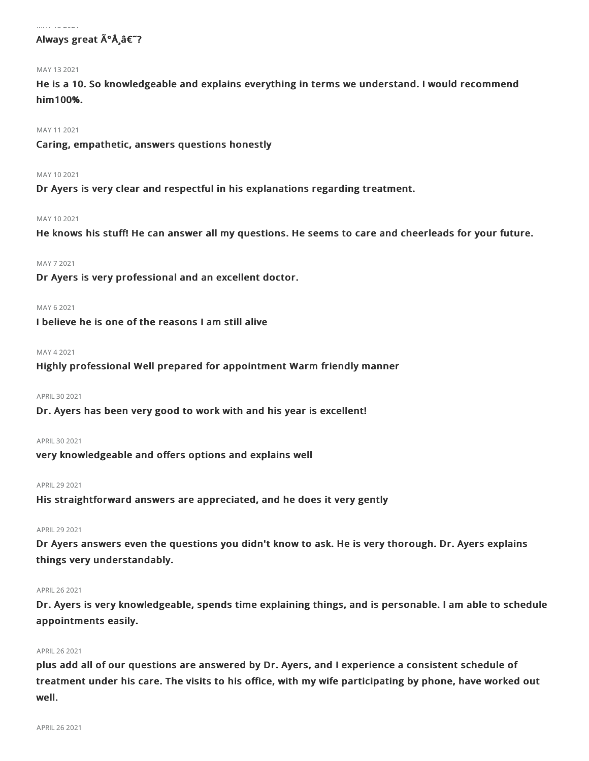#### $\ldots$  . . .  $\ldots$   $\ldots$  .

## Always great A<sup>°</sup>Å â€<sup>"?</sup>

#### MAY 132021

He is a 10. So knowledgeable and explains everything in terms we understand. I would recommend him100%.

#### MAY 112021

Caring, empathetic, answers questions honestly

#### MAY 102021

Dr Ayers is very clear and respectful in his explanations regarding treatment.

#### MAY 102021

He knows his stuff! He can answer all my questions. He seems to care and cheerleads for your future.

#### MAY 72021

Dr Ayers is very professional and an excellent doctor.

#### MAY 62021

I believe he is one of the reasons I am still alive

#### MAY 42021

Highly professional Well prepared for appointment Warm friendly manner

## APRIL302021

Dr. Ayers has been very good to work with and his year is excellent!

#### APRIL 30 2021

very knowledgeable and offers options and explains well

#### APRIL292021

His straightforward answers are appreciated, and he does it very gently

#### APRIL 29 2021

Dr Ayers answers even the questions you didn't know to ask. He is very thorough. Dr. Ayers explains things very understandably.

#### APRIL262021

Dr. Ayers is very knowledgeable, spends time explaining things, and is personable. I am able to schedule appointments easily.

#### APRIL262021

plus add all of our questions are answered by Dr. Ayers, and I experience a consistent schedule of treatment under his care. The visits to his office, with my wife participating by phone, have worked out well.